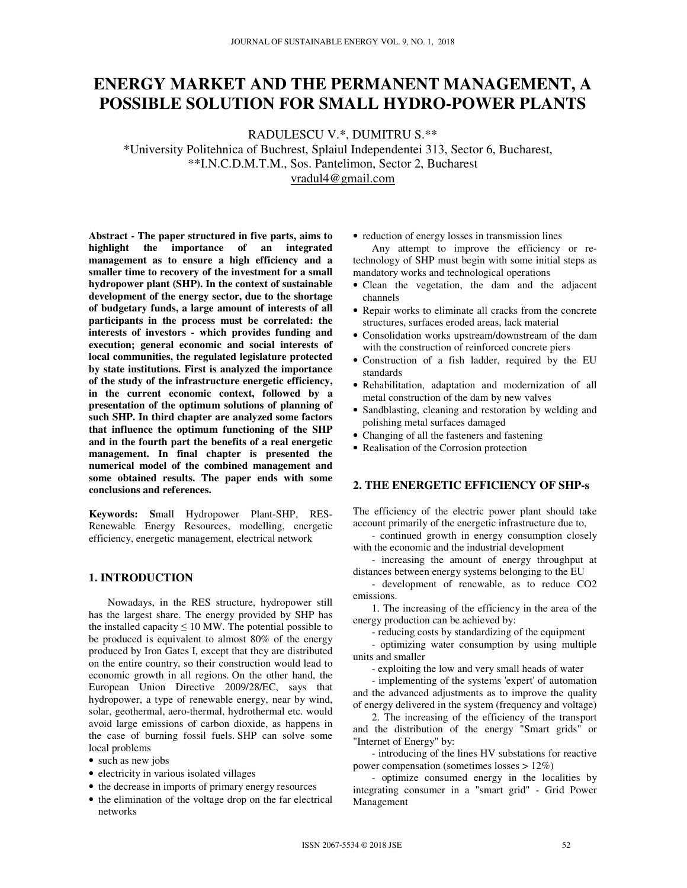# **ENERGY MARKET AND THE PERMANENT MANAGEMENT, A POSSIBLE SOLUTION FOR SMALL HYDRO-POWER PLANTS**

RADULESCU V.\*, DUMITRU S.\*\*

\*University Politehnica of Buchrest, Splaiul Independentei 313, Sector 6, Bucharest, \*\*I.N.C.D.M.T.M., Sos. Pantelimon, Sector 2, Bucharest vradul4@gmail.com

**Abstract - The paper structured in five parts, aims to highlight the importance of an integrated management as to ensure a high efficiency and a smaller time to recovery of the investment for a small hydropower plant (SHP). In the context of sustainable development of the energy sector, due to the shortage of budgetary funds, a large amount of interests of all participants in the process must be correlated: the interests of investors - which provides funding and execution; general economic and social interests of local communities, the regulated legislature protected by state institutions. First is analyzed the importance of the study of the infrastructure energetic efficiency, in the current economic context, followed by a presentation of the optimum solutions of planning of such SHP. In third chapter are analyzed some factors that influence the optimum functioning of the SHP and in the fourth part the benefits of a real energetic management. In final chapter is presented the numerical model of the combined management and some obtained results. The paper ends with some conclusions and references.** 

**Keywords: S**mall Hydropower Plant-SHP, RES-Renewable Energy Resources, modelling, energetic efficiency, energetic management, electrical network

# **1. INTRODUCTION**

Nowadays, in the RES structure, hydropower still has the largest share. The energy provided by SHP has the installed capacity  $\leq 10$  MW. The potential possible to be produced is equivalent to almost 80% of the energy produced by Iron Gates I, except that they are distributed on the entire country, so their construction would lead to economic growth in all regions. On the other hand, the European Union Directive 2009/28/EC, says that hydropower, a type of renewable energy, near by wind, solar, geothermal, aero-thermal, hydrothermal etc. would avoid large emissions of carbon dioxide, as happens in the case of burning fossil fuels. SHP can solve some local problems

- such as new jobs
- electricity in various isolated villages
- the decrease in imports of primary energy resources
- the elimination of the voltage drop on the far electrical networks

• reduction of energy losses in transmission lines

Any attempt to improve the efficiency or retechnology of SHP must begin with some initial steps as mandatory works and technological operations

- Clean the vegetation, the dam and the adjacent channels
- Repair works to eliminate all cracks from the concrete structures, surfaces eroded areas, lack material
- Consolidation works upstream/downstream of the dam with the construction of reinforced concrete piers
- Construction of a fish ladder, required by the EU standards
- Rehabilitation, adaptation and modernization of all metal construction of the dam by new valves
- Sandblasting, cleaning and restoration by welding and polishing metal surfaces damaged
- Changing of all the fasteners and fastening
- Realisation of the Corrosion protection

## **2. THE ENERGETIC EFFICIENCY OF SHP-s**

The efficiency of the electric power plant should take account primarily of the energetic infrastructure due to,

- continued growth in energy consumption closely with the economic and the industrial development

- increasing the amount of energy throughput at distances between energy systems belonging to the EU

- development of renewable, as to reduce CO2 emissions.

1. The increasing of the efficiency in the area of the energy production can be achieved by:

- reducing costs by standardizing of the equipment

- optimizing water consumption by using multiple units and smaller

- exploiting the low and very small heads of water

- implementing of the systems 'expert' of automation and the advanced adjustments as to improve the quality of energy delivered in the system (frequency and voltage)

2. The increasing of the efficiency of the transport and the distribution of the energy "Smart grids" or "Internet of Energy" by:

- introducing of the lines HV substations for reactive power compensation (sometimes losses > 12%)

- optimize consumed energy in the localities by integrating consumer in a "smart grid" - Grid Power Management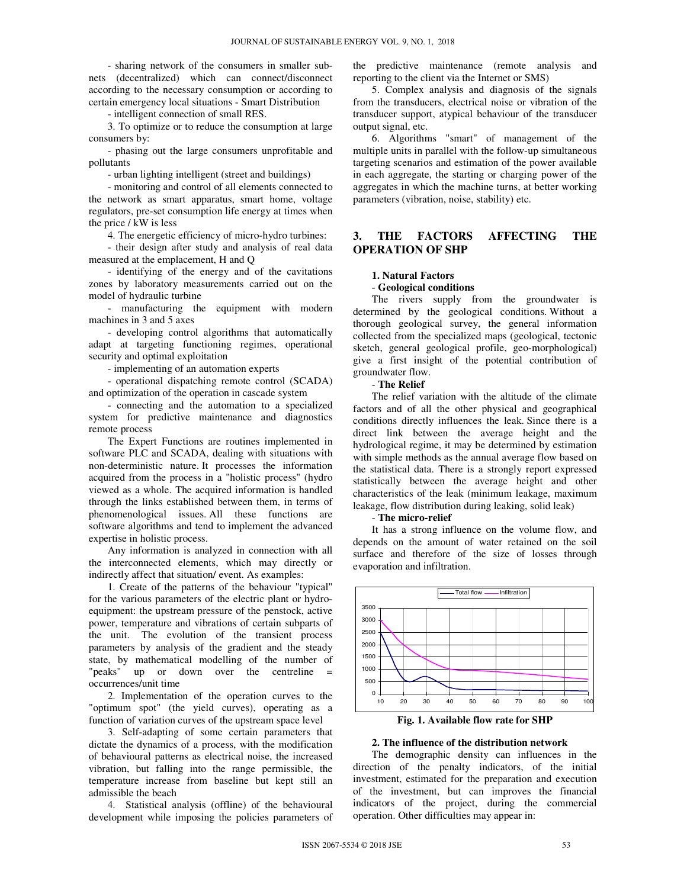- sharing network of the consumers in smaller subnets (decentralized) which can connect/disconnect according to the necessary consumption or according to certain emergency local situations - Smart Distribution

- intelligent connection of small RES.

3. To optimize or to reduce the consumption at large consumers by:

- phasing out the large consumers unprofitable and pollutants

- urban lighting intelligent (street and buildings)

- monitoring and control of all elements connected to the network as smart apparatus, smart home, voltage regulators, pre-set consumption life energy at times when the price / kW is less

4. The energetic efficiency of micro-hydro turbines:

- their design after study and analysis of real data measured at the emplacement, H and Q

- identifying of the energy and of the cavitations zones by laboratory measurements carried out on the model of hydraulic turbine

- manufacturing the equipment with modern machines in 3 and 5 axes

- developing control algorithms that automatically adapt at targeting functioning regimes, operational security and optimal exploitation

- implementing of an automation experts

- operational dispatching remote control (SCADA) and optimization of the operation in cascade system

- connecting and the automation to a specialized system for predictive maintenance and diagnostics remote process

The Expert Functions are routines implemented in software PLC and SCADA, dealing with situations with non-deterministic nature. It processes the information acquired from the process in a "holistic process" (hydro viewed as a whole. The acquired information is handled through the links established between them, in terms of phenomenological issues. All these functions are software algorithms and tend to implement the advanced expertise in holistic process.

Any information is analyzed in connection with all the interconnected elements, which may directly or indirectly affect that situation/ event. As examples:

1. Create of the patterns of the behaviour "typical" for the various parameters of the electric plant or hydroequipment: the upstream pressure of the penstock, active power, temperature and vibrations of certain subparts of the unit. The evolution of the transient process parameters by analysis of the gradient and the steady state, by mathematical modelling of the number of "peaks" up or down over the centreline = occurrences/unit time

2. Implementation of the operation curves to the "optimum spot" (the yield curves), operating as a function of variation curves of the upstream space level

3. Self-adapting of some certain parameters that dictate the dynamics of a process, with the modification of behavioural patterns as electrical noise, the increased vibration, but falling into the range permissible, the temperature increase from baseline but kept still an admissible the beach

4. Statistical analysis (offline) of the behavioural development while imposing the policies parameters of the predictive maintenance (remote analysis and reporting to the client via the Internet or SMS)

5. Complex analysis and diagnosis of the signals from the transducers, electrical noise or vibration of the transducer support, atypical behaviour of the transducer output signal, etc.

6. Algorithms "smart" of management of the multiple units in parallel with the follow-up simultaneous targeting scenarios and estimation of the power available in each aggregate, the starting or charging power of the aggregates in which the machine turns, at better working parameters (vibration, noise, stability) etc.

# **3. THE FACTORS AFFECTING THE OPERATION OF SHP**

## **1. Natural Factors**

## - **Geological conditions**

The rivers supply from the groundwater is determined by the geological conditions. Without a thorough geological survey, the general information collected from the specialized maps (geological, tectonic sketch, general geological profile, geo-morphological) give a first insight of the potential contribution of groundwater flow.

#### - **The Relief**

The relief variation with the altitude of the climate factors and of all the other physical and geographical conditions directly influences the leak. Since there is a direct link between the average height and the hydrological regime, it may be determined by estimation with simple methods as the annual average flow based on the statistical data. There is a strongly report expressed statistically between the average height and other characteristics of the leak (minimum leakage, maximum leakage, flow distribution during leaking, solid leak)

## - **The micro-relief**

It has a strong influence on the volume flow, and depends on the amount of water retained on the soil surface and therefore of the size of losses through evaporation and infiltration.



**Fig. 1. Available flow rate for SHP** 

#### **2. The influence of the distribution network**

The demographic density can influences in the direction of the penalty indicators, of the initial investment, estimated for the preparation and execution of the investment, but can improves the financial indicators of the project, during the commercial operation. Other difficulties may appear in: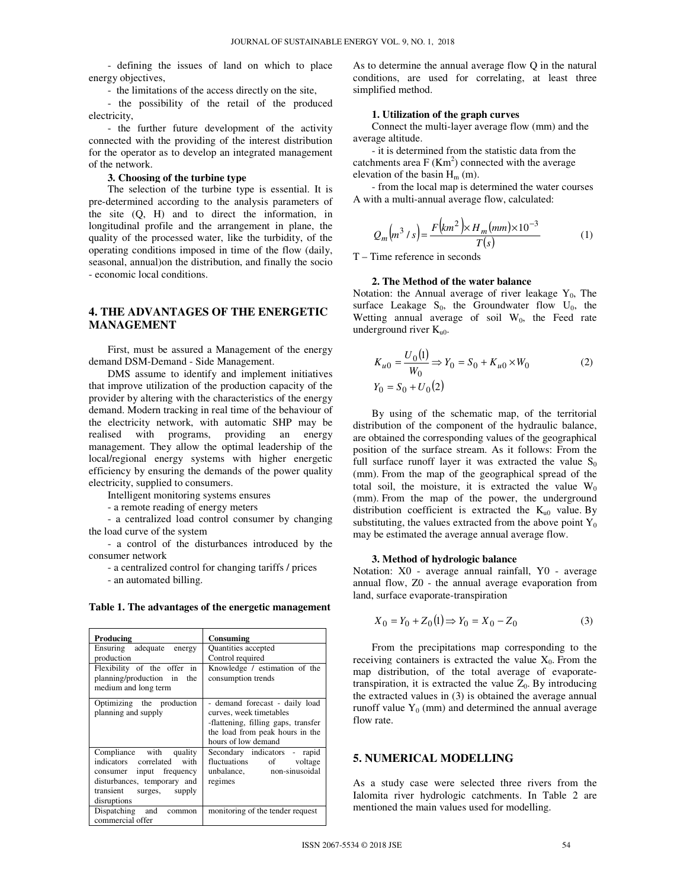- defining the issues of land on which to place energy objectives,

- the limitations of the access directly on the site,

- the possibility of the retail of the produced electricity,

- the further future development of the activity connected with the providing of the interest distribution for the operator as to develop an integrated management of the network.

#### **3. Choosing of the turbine type**

The selection of the turbine type is essential. It is pre-determined according to the analysis parameters of the site (Q, H) and to direct the information, in longitudinal profile and the arrangement in plane, the quality of the processed water, like the turbidity, of the operating conditions imposed in time of the flow (daily, seasonal, annual)on the distribution, and finally the socio - economic local conditions.

# **4. THE ADVANTAGES OF THE ENERGETIC MANAGEMENT**

First, must be assured a Management of the energy demand DSM-Demand - Side Management.

DMS assume to identify and implement initiatives that improve utilization of the production capacity of the provider by altering with the characteristics of the energy demand. Modern tracking in real time of the behaviour of the electricity network, with automatic SHP may be realised with programs, providing an energy management. They allow the optimal leadership of the local/regional energy systems with higher energetic efficiency by ensuring the demands of the power quality electricity, supplied to consumers.

Intelligent monitoring systems ensures

- a remote reading of energy meters

- a centralized load control consumer by changing the load curve of the system

- a control of the disturbances introduced by the consumer network

- a centralized control for changing tariffs / prices

- an automated billing.

| Producing                                                                                                                                                   | Consuming                                                                                                                                                  |  |  |  |
|-------------------------------------------------------------------------------------------------------------------------------------------------------------|------------------------------------------------------------------------------------------------------------------------------------------------------------|--|--|--|
| Ensuring adequate energy                                                                                                                                    | <b>Ouantities</b> accepted                                                                                                                                 |  |  |  |
| production                                                                                                                                                  | Control required                                                                                                                                           |  |  |  |
| Flexibility of the offer in<br>planning/production in the<br>medium and long term                                                                           | Knowledge / estimation of the<br>consumption trends                                                                                                        |  |  |  |
| Optimizing the production<br>planning and supply                                                                                                            | - demand forecast - daily load<br>curves, week timetables<br>-flattening, filling gaps, transfer<br>the load from peak hours in the<br>hours of low demand |  |  |  |
| Compliance with quality<br>indicators correlated with<br>consumer input frequency<br>disturbances, temporary and<br>transient surges, supply<br>disruptions | Secondary indicators - rapid<br>fluctuations of voltage<br>unbalance, non-sinusoidal<br>regimes                                                            |  |  |  |
| Dispatching and common<br>commercial offer                                                                                                                  | monitoring of the tender request                                                                                                                           |  |  |  |

#### **Table 1. The advantages of the energetic management**

As to determine the annual average flow Q in the natural conditions, are used for correlating, at least three simplified method.

#### **1. Utilization of the graph curves**

Connect the multi-layer average flow (mm) and the average altitude.

- it is determined from the statistic data from the catchments area  $F(Km^2)$  connected with the average elevation of the basin  $H_m$  (m).

- from the local map is determined the water courses A with a multi-annual average flow, calculated:

$$
Q_m(m^3/s) = \frac{F(km^2) \times H_m(mm) \times 10^{-3}}{T(s)}
$$
 (1)

T – Time reference in seconds

#### **2. The Method of the water balance**

Notation: the Annual average of river leakage  $Y_0$ , The surface Leakage  $S_0$ , the Groundwater flow  $U_0$ , the Wetting annual average of soil  $W_0$ , the Feed rate underground river  $K_{u0}$ .

$$
K_{u0} = \frac{U_0(1)}{W_0} \Rightarrow Y_0 = S_0 + K_{u0} \times W_0
$$
 (2)  

$$
Y_0 = S_0 + U_0(2)
$$

By using of the schematic map, of the territorial distribution of the component of the hydraulic balance, are obtained the corresponding values of the geographical position of the surface stream. As it follows: From the full surface runoff layer it was extracted the value  $S_0$ (mm). From the map of the geographical spread of the total soil, the moisture, it is extracted the value  $W_0$ (mm). From the map of the power, the underground distribution coefficient is extracted the  $K_{u0}$  value. By substituting, the values extracted from the above point  $Y_0$ may be estimated the average annual average flow.

#### **3. Method of hydrologic balance**

Notation: X0 - average annual rainfall, Y0 - average annual flow, Z0 - the annual average evaporation from land, surface evaporate-transpiration

$$
X_0 = Y_0 + Z_0(1) \Rightarrow Y_0 = X_0 - Z_0 \tag{3}
$$

From the precipitations map corresponding to the receiving containers is extracted the value  $X_0$ . From the map distribution, of the total average of evaporatetranspiration, it is extracted the value  $Z_0$ . By introducing the extracted values in (3) is obtained the average annual runoff value  $Y_0$  (mm) and determined the annual average flow rate.

# **5. NUMERICAL MODELLING**

As a study case were selected three rivers from the Ialomita river hydrologic catchments. In Table 2 are mentioned the main values used for modelling.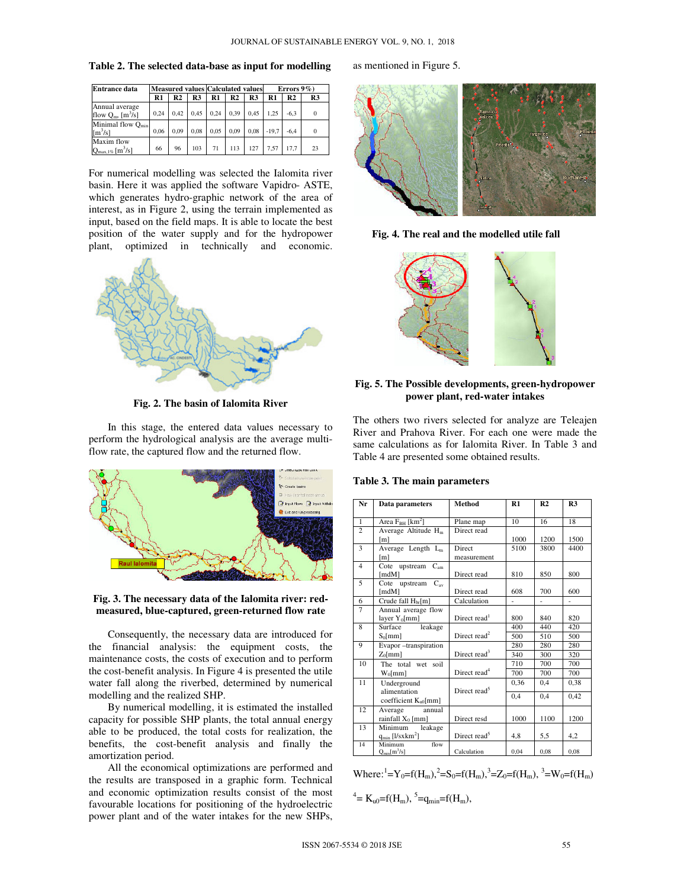**Table 2. The selected data-base as input for modelling** 

| <b>Entrance data</b>                                         |      |      |      | <b>Measured values Calculated values</b> |      |      | Errors $9\%$ ) |        |    |
|--------------------------------------------------------------|------|------|------|------------------------------------------|------|------|----------------|--------|----|
|                                                              | R1   | R2   | R3   | R1                                       | R2   | R3   | R1             | R2     | R3 |
| Annual average<br>flow $Q_m$ , $[m^3/s]$                     | 0.24 | 0.42 | 0.45 | 0.24                                     | 0.39 | 0.45 | 1.25           | $-6.3$ |    |
| Minimal flow $Q_{min}$<br>$\left[\text{m}^3/\text{s}\right]$ | 0.06 | 0.09 | 0.08 | 0.05                                     | 0.09 | 0.08 | $-19.7$        | $-6.4$ |    |
| Maxim flow<br>$Q_{\text{max.1\%}}$ [m <sup>3</sup> /s]       | 66   | 96   | 103  | 71                                       | 113  | 127  | 7.57           | 17.7   | 23 |

For numerical modelling was selected the Ialomita river basin. Here it was applied the software Vapidro- ASTE, which generates hydro-graphic network of the area of interest, as in Figure 2, using the terrain implemented as input, based on the field maps. It is able to locate the best position of the water supply and for the hydropower plant, optimized in technically and economic.



**Fig. 2. The basin of Ialomita River** 

In this stage, the entered data values necessary to perform the hydrological analysis are the average multiflow rate, the captured flow and the returned flow.



## **Fig. 3. The necessary data of the Ialomita river: redmeasured, blue-captured, green-returned flow rate**

Consequently, the necessary data are introduced for the financial analysis: the equipment costs, the maintenance costs, the costs of execution and to perform the cost-benefit analysis. In Figure 4 is presented the utile water fall along the riverbed, determined by numerical modelling and the realized SHP.

By numerical modelling, it is estimated the installed capacity for possible SHP plants, the total annual energy able to be produced, the total costs for realization, the benefits, the cost-benefit analysis and finally the amortization period.

All the economical optimizations are performed and the results are transposed in a graphic form. Technical and economic optimization results consist of the most favourable locations for positioning of the hydroelectric power plant and of the water intakes for the new SHPs,

#### as mentioned in Figure 5.



**Fig. 4. The real and the modelled utile fall** 



**Fig. 5. The Possible developments, green-hydropower power plant, red-water intakes** 

The others two rivers selected for analyze are Teleajen River and Prahova River. For each one were made the same calculations as for Ialomita River. In Table 3 and Table 4 are presented some obtained results.

|  |  | Table 3. The main parameters |
|--|--|------------------------------|
|--|--|------------------------------|

| Nr             | Data parameters                  | Method                   | R1   | R <sub>2</sub> | R <sub>3</sub> |
|----------------|----------------------------------|--------------------------|------|----------------|----------------|
|                |                                  |                          |      |                |                |
| $\mathbf{1}$   | Area $F_{BH}$ [km <sup>2</sup> ] | Plane map                | 10   | 16             | 18             |
| $\overline{c}$ | Average Altitude $H_m$           | Direct read              |      |                |                |
|                | [m]                              |                          | 1000 | 1200           | 1500           |
| 3              | Average Length $L_m$             | Direct                   | 5100 | 3800           | 4400           |
|                | [m]                              | measurement              |      |                |                |
| 4              | Cote upstream $C_{am}$           |                          |      |                |                |
|                | [mdM]                            | Direct read              | 810  | 850            | 800            |
| 5              | Cote<br>upstream $C_{av}$        |                          |      |                |                |
|                | [mdM]                            | Direct read              | 608  | 700            | 600            |
| 6              | Crude fall $H_{br}[m]$           | Calculation              | ä,   | ä,             | ä,             |
| $\overline{7}$ | Annual average flow              |                          |      |                |                |
|                | layer Y <sub>0</sub> [mm]        | Direct read <sup>1</sup> | 800  | 840            | 820            |
| 8              | Surface<br>leakage               |                          | 400  | 440            | 420            |
|                | $S_0$ [mm]                       | Direct read <sup>2</sup> | 500  | 510            | 500            |
| 9              | Evapor-transpiration             |                          | 280  | 280            | 280            |
|                | $Z_0$ [mm]                       | Direct read <sup>3</sup> | 340  | 300            | 320            |
| 10             | The total wet soil               |                          | 710  | 700            | 700            |
|                | $W_0$ [mm]                       | Direct read <sup>4</sup> | 700  | 700            | 700            |
| 11             | Underground                      |                          | 0,36 | 0.4            | 0,38           |
|                | alimentation                     | Direct read <sup>5</sup> | 0,4  | 0.4            | 0,42           |
|                | coefficient $K_{u0}$ [mm]        |                          |      |                |                |
| 12             | Average<br>annual                |                          |      |                |                |
|                | rainfall $X_0$ [mm]              | Direct resd              | 1000 | 1100           | 1200           |
| 13             | Minimum<br>leakage               |                          |      |                |                |
|                | $q_{min}$ [l/sxkm <sup>2</sup> ] | Direct read <sup>5</sup> | 4,8  | 5,5            | 4,2            |
| 14             | flow<br>Minimum                  |                          |      |                |                |
|                | $Q_{\text{min}}[m^3/s]$          | Calculation              | 0.04 | 0.08           | 0.08           |

Where:<sup>1</sup>=Y<sub>0</sub>=f(H<sub>m</sub>),<sup>2</sup>=S<sub>0</sub>=f(H<sub>m</sub>),<sup>3</sup>=Z<sub>0</sub>=f(H<sub>m</sub>),<sup>3</sup>=W<sub>0</sub>=f(H<sub>m</sub>)

4 = Ku0=f(Hm), <sup>5</sup> =qmin=f(Hm),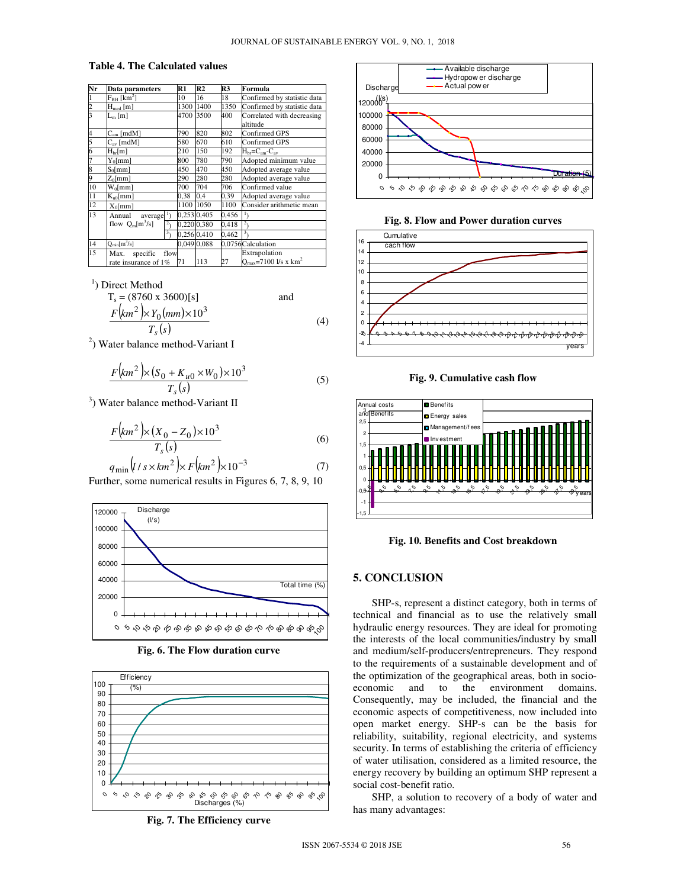## **Table 4. The Calculated values**

| Nr            | Data parameters             | R1   | R <sub>2</sub> | R <sub>3</sub> | Formula                                      |  |
|---------------|-----------------------------|------|----------------|----------------|----------------------------------------------|--|
|               | $F_{BH}$ [km <sup>2</sup> ] | 10   | 16             | 18             | Confirmed by statistic data                  |  |
| $\frac{2}{3}$ | $H_{med}$ [m]               |      | 1300<br>1400   | 1350           | Confirmed by statistic data                  |  |
|               | $L_m$ [m]                   |      | 4700<br>3500   | 400            | Correlated with decreasing<br>altitude       |  |
| 4             | $Cam$ [mdM]                 |      | 820            | 802            | Confirmed GPS                                |  |
| 5             | $C_{\rm av}$ [mdM]          |      | 670            | 610            | Confirmed GPS                                |  |
| 6             | $H_{br}[m]$                 | 210  | 150            | 192            | $H_{\rm br} = C_{\rm am} - C_{\rm av}$       |  |
| 7             | $Y_0$ [mm]                  |      | 780            | 790            | Adopted minimum value                        |  |
| 8             | $S_0$ [mm]                  | 450  | 470            | 450            | Adopted average value                        |  |
| 9             | $Z_0$ [mm]                  | 290  | 280            | 280            | Adopted average value                        |  |
| 10            | $W_0$ [mm]                  | 700  | 704            | 706            | Confirmed value                              |  |
| 11            | $K_{u0}$ [mm]               |      | 0,38<br>0,4    | 0.39           | Adopted average value                        |  |
| 12            | $X_0$ [mm]                  | 1100 | 1050           | 1100           | Consider arithmetic mean                     |  |
| 13            | Annual<br>$average'$ )      |      | 0,253 0,405    | 0,456          |                                              |  |
|               | flow $Q_m[m^3/s]$           |      | 0,220 0,380    | 0,418          | $\overline{c}$                               |  |
|               |                             | 3,   | 0.256 0.410    | 0,462          |                                              |  |
| 14            | $Q_{\text{min}}[m^3/s]$     |      | 0.049 0.088    |                | 0.0756Calculation                            |  |
| 15            | specific<br>Max.            | flow |                |                | Extrapolation                                |  |
|               | rate insurance of 1%        | 71   | 113            | 27             | $O_{\text{max}}$ =7100 l/s x km <sup>2</sup> |  |

<sup>1</sup>) Direct Method

$$
T_s = (8760 \times 3600)[s]
$$
 and  

$$
\frac{F(km^2) \times Y_0(mm) \times 10^3}{(4)}
$$
 (4)

 $\overline{T_s(s)}$ 

<sup>2</sup>) Water balance method-Variant I

$$
\frac{F(km^2)\times (S_0 + K_{u0} \times W_0) \times 10^3}{T_s(s)}
$$
(5)

<sup>3</sup>) Water balance method-Variant II

$$
\frac{F(km^2)\times (X_0 - Z_0)\times 10^3}{T_s(s)}
$$
(6)

$$
q_{\min} (l / s \times km^2) \times F (km^2) \times 10^{-3}
$$
 (7)  
Further, some numerical results in Figures 6, 7, 8, 9, 10



**Fig. 6. The Flow duration curve** 



**Fig. 7. The Efficiency curve**



**Fig. 8. Flow and Power duration curves**



**Fig. 9. Cumulative cash flow** 



**Fig. 10. Benefits and Cost breakdown** 

## **5. CONCLUSION**

SHP-s, represent a distinct category, both in terms of technical and financial as to use the relatively small hydraulic energy resources. They are ideal for promoting the interests of the local communities/industry by small and medium/self-producers/entrepreneurs. They respond to the requirements of a sustainable development and of the optimization of the geographical areas, both in socio-<br>economic and to the environment domains. and to the environment domains. Consequently, may be included, the financial and the economic aspects of competitiveness, now included into open market energy. SHP-s can be the basis for reliability, suitability, regional electricity, and systems security. In terms of establishing the criteria of efficiency of water utilisation, considered as a limited resource, the energy recovery by building an optimum SHP represent a social cost-benefit ratio.

SHP, a solution to recovery of a body of water and has many advantages: